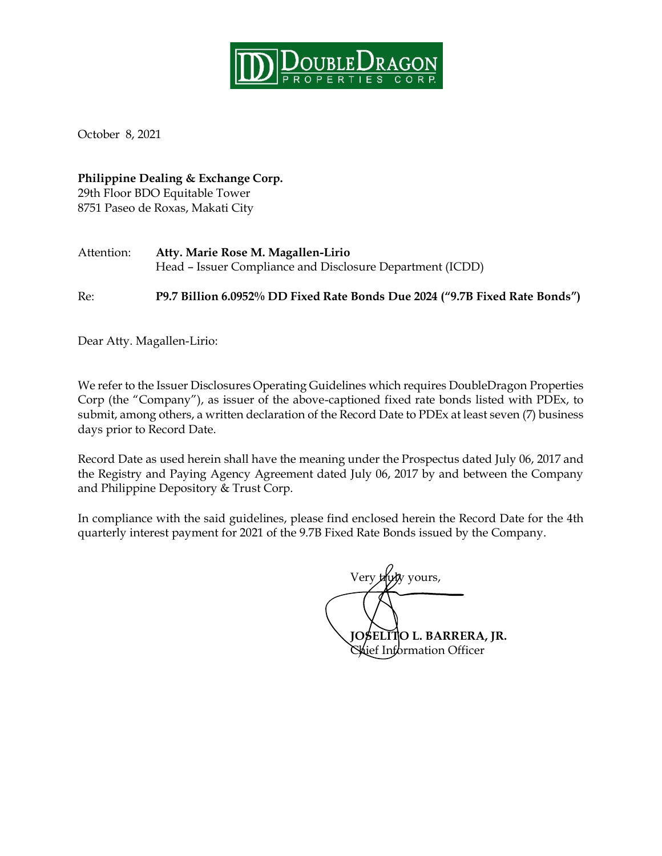

October 8, 2021

**Philippine Dealing & Exchange Corp.** 29th Floor BDO Equitable Tower 8751 Paseo de Roxas, Makati City

Attention: **Atty. Marie Rose M. Magallen-Lirio** Head – Issuer Compliance and Disclosure Department (ICDD)

Re: **P9.7 Billion 6.0952% DD Fixed Rate Bonds Due 2024 ("9.7B Fixed Rate Bonds")**

Dear Atty. Magallen-Lirio:

We refer to the Issuer Disclosures Operating Guidelines which requires DoubleDragon Properties Corp (the "Company"), as issuer of the above-captioned fixed rate bonds listed with PDEx, to submit, among others, a written declaration of the Record Date to PDEx at least seven (7) business days prior to Record Date.

Record Date as used herein shall have the meaning under the Prospectus dated July 06, 2017 and the Registry and Paying Agency Agreement dated July 06, 2017 by and between the Company and Philippine Depository & Trust Corp.

In compliance with the said guidelines, please find enclosed herein the Record Date for the 4th quarterly interest payment for 2021 of the 9.7B Fixed Rate Bonds issued by the Company.

Very truly yours, **JOSELITO L. BARRERA, JR.** Chief Information Officer